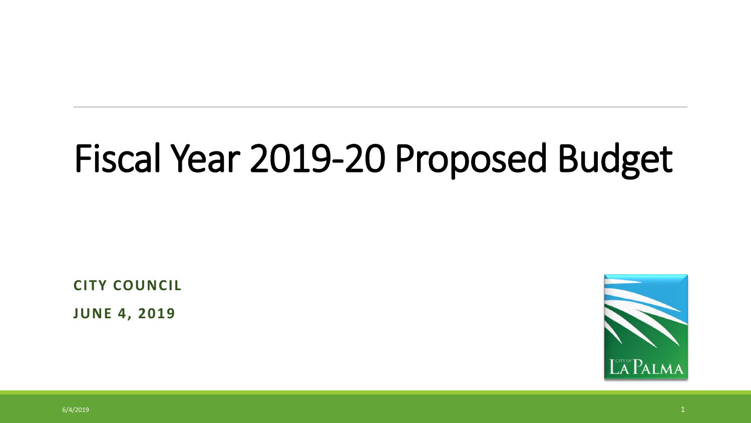# Fiscal Year 2019-20 Proposed Budget

**CITY COUNCIL**

**JUNE 4, 2019**

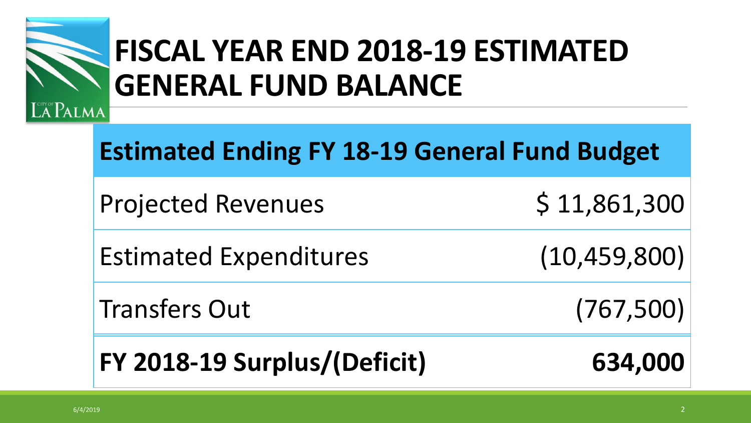

## **FISCAL YEAR END 2018-19 ESTIMATED GENERAL FUND BALANCE**

| <b>Estimated Ending FY 18-19 General Fund Budget</b> |                |  |
|------------------------------------------------------|----------------|--|
| <b>Projected Revenues</b>                            | \$11,861,300   |  |
| <b>Estimated Expenditures</b>                        | (10, 459, 800) |  |
| <b>Transfers Out</b>                                 | (767, 500)     |  |

**FY 2018-19 Surplus/(Deficit) 634,000**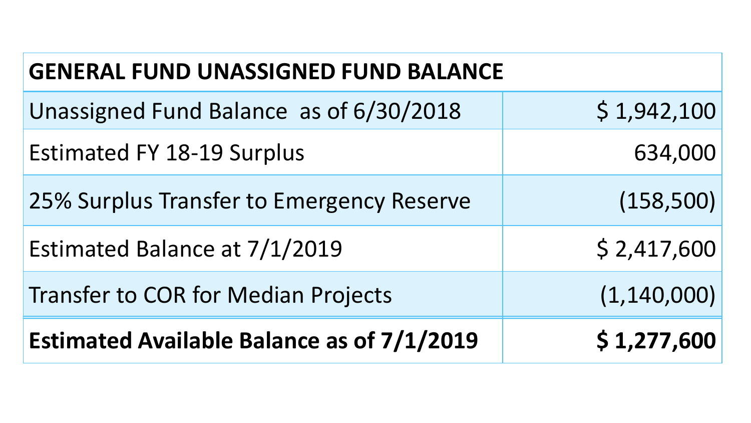| <b>GENERAL FUND UNASSIGNED FUND BALANCE</b>       |               |  |  |
|---------------------------------------------------|---------------|--|--|
| Unassigned Fund Balance as of 6/30/2018           | \$1,942,100   |  |  |
| <b>Estimated FY 18-19 Surplus</b>                 | 634,000       |  |  |
| 25% Surplus Transfer to Emergency Reserve         | (158, 500)    |  |  |
| Estimated Balance at 7/1/2019                     | \$2,417,600   |  |  |
| <b>Transfer to COR for Median Projects</b>        | (1, 140, 000) |  |  |
| <b>Estimated Available Balance as of 7/1/2019</b> | \$1,277,600   |  |  |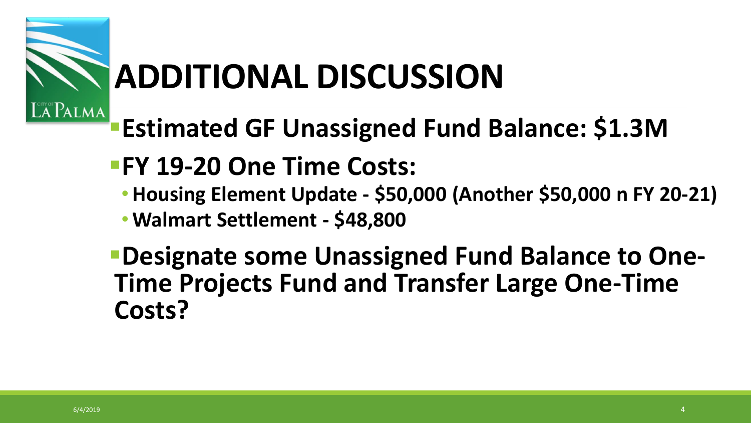

# **ADDITIONAL DISCUSSION**

- **Estimated GF Unassigned Fund Balance: \$1.3M**
- **FY 19-20 One Time Costs:**
	- **Housing Element Update - \$50,000 (Another \$50,000 n FY 20-21)**
	- **Walmart Settlement - \$48,800**
- **PDesignate some Unassigned Fund Balance to One-Time Projects Fund and Transfer Large One-Time Costs?**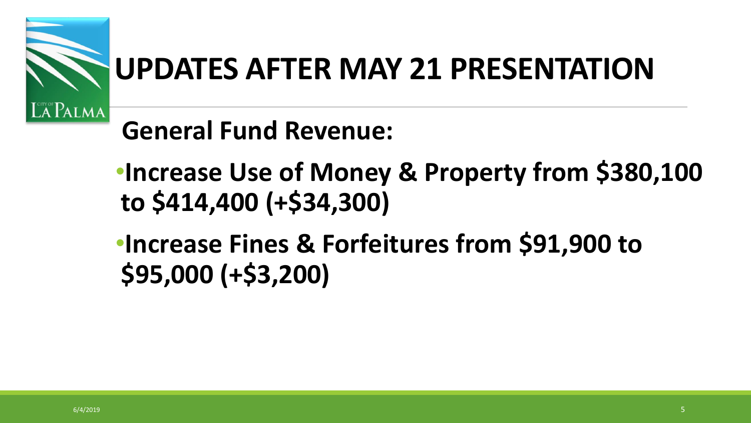

## **UPDATES AFTER MAY 21 PRESENTATION**

## **General Fund Revenue:**

- •**Increase Use of Money & Property from \$380,100 to \$414,400 (+\$34,300)**
- •**Increase Fines & Forfeitures from \$91,900 to \$95,000 (+\$3,200)**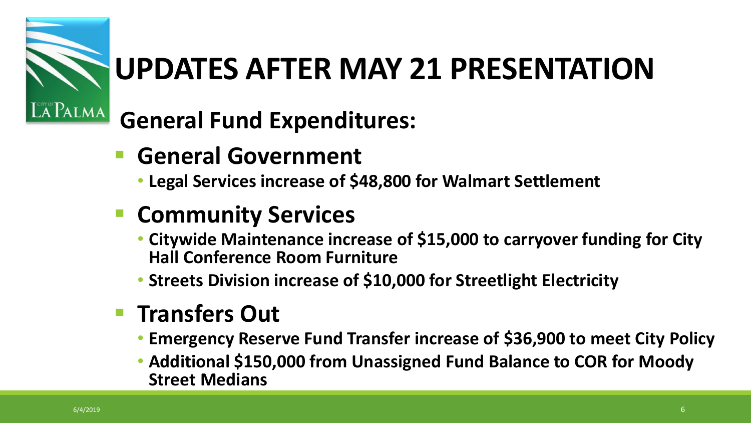

## **UPDATES AFTER MAY 21 PRESENTATION**

#### **General Fund Expenditures:**

- **F** General Government
	- **Legal Services increase of \$48,800 for Walmart Settlement**

#### **E** Community Services

- **Citywide Maintenance increase of \$15,000 to carryover funding for City Hall Conference Room Furniture**
- **Streets Division increase of \$10,000 for Streetlight Electricity**

#### **F** Transfers Out

- **Emergency Reserve Fund Transfer increase of \$36,900 to meet City Policy**
- **Additional \$150,000 from Unassigned Fund Balance to COR for Moody Street Medians**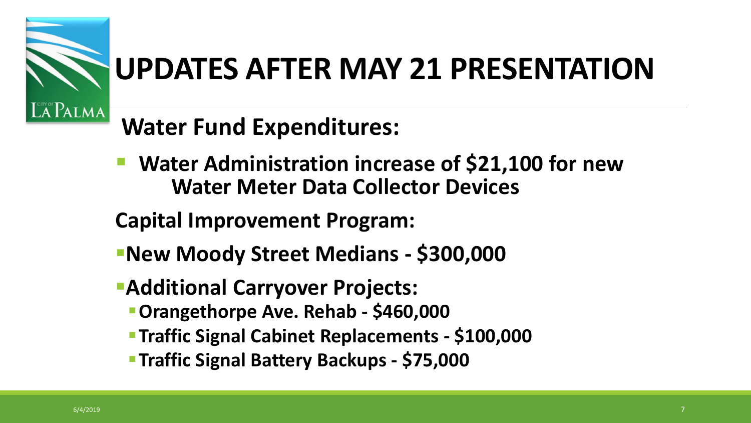

## **UPDATES AFTER MAY 21 PRESENTATION**

### **Water Fund Expenditures:**

- **Water Administration increase of \$21,100 for new Water Meter Data Collector Devices**
- **Capital Improvement Program:**
- **New Moody Street Medians - \$300,000**
- **Additional Carryover Projects:**
	- **Orangethorpe Ave. Rehab - \$460,000**
	- **Traffic Signal Cabinet Replacements - \$100,000**
	- **Traffic Signal Battery Backups - \$75,000**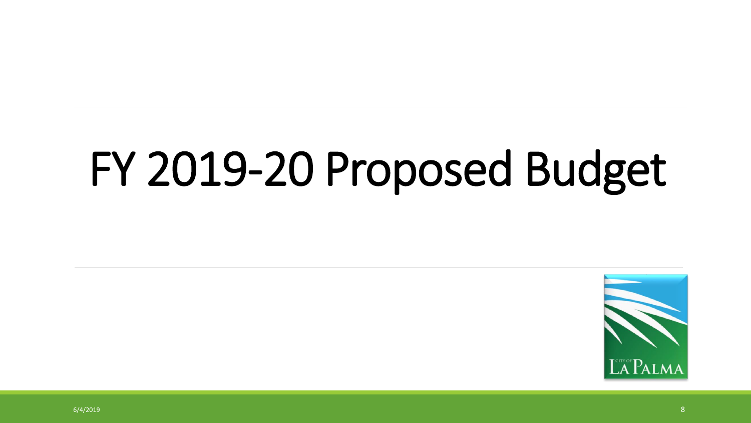# FY 2019-20 Proposed Budget

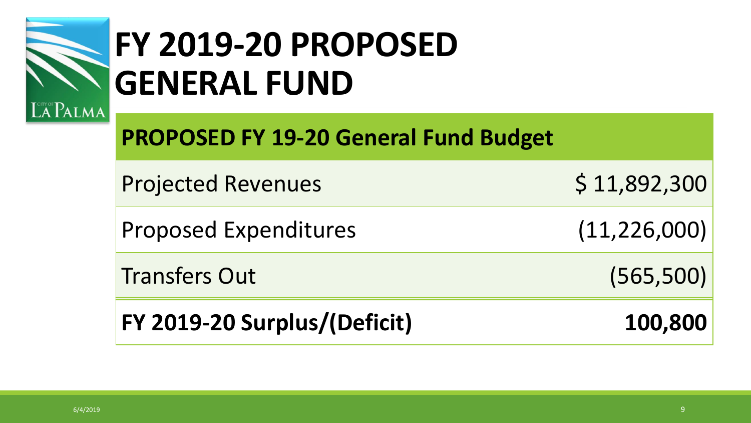

## **FY 2019-20 PROPOSED GENERAL FUND**

**PROPOSED FY 19-20 General Fund Budget**

Projected Revenues \$ 11,892,300

Proposed Expenditures (11,226,000)

Transfers Out (565,500)

**FY 2019-20 Surplus/(Deficit) 100,800**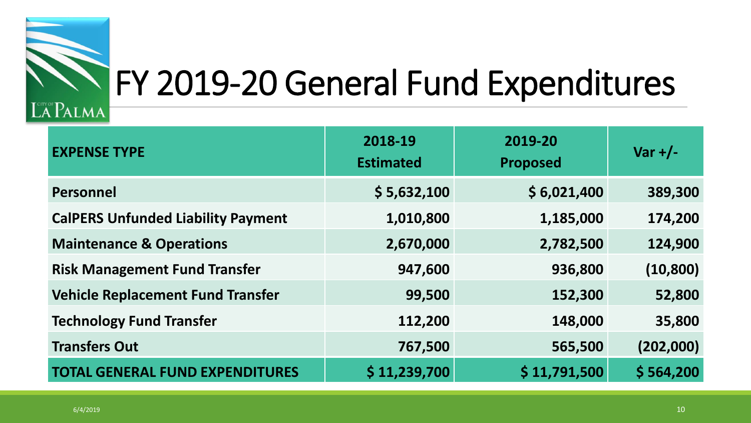

# FY 2019-20 General Fund Expenditures

#### **EXPENSE TYPE 2018-19 Estimated 2019-20 Proposed Var +/- Personnel \$ 5,632,100 \$ 6,021,400 389,300 CalPERS Unfunded Liability Payment 1,010,800 1,185,000 174,200 Maintenance & Operations 2,670,000 2,782,500 124,900 Risk Management Fund Transfer 947,600 936,800 (10,800) Vehicle Replacement Fund Transfer 99,500 152,300 52,800 Technology Fund Transfer 112,200 148,000 35,800 Transfers Out 767,500 565,500 (202,000) TOTAL GENERAL FUND EXPENDITURES \$ 11,239,700 \$ 11,791,500 \$ 564,200**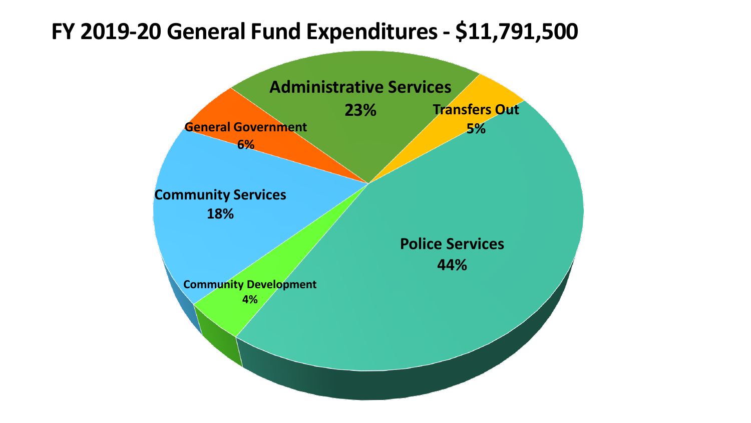#### **FY 2019-20 General Fund Expenditures - \$11,791,500**

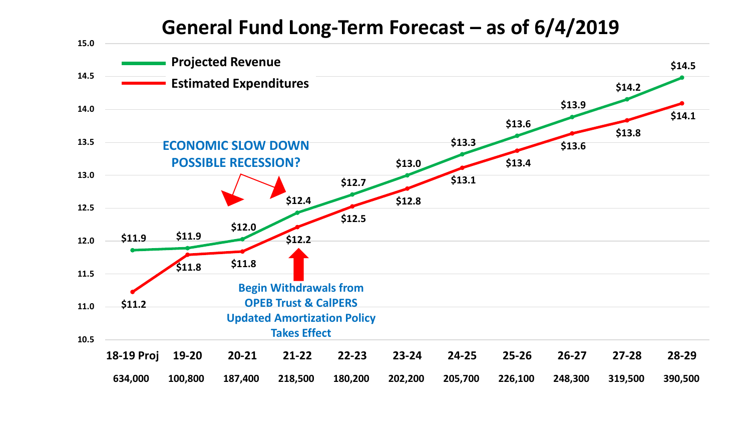#### **General Fund Long-Term Forecast – as of 6/4/2019**

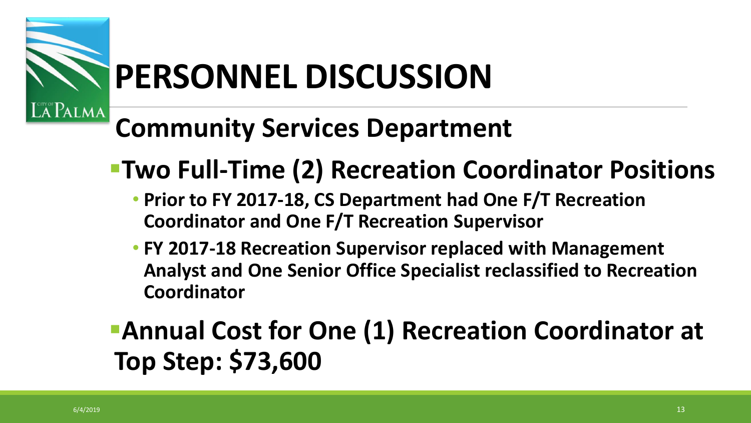

# **PERSONNEL DISCUSSION**

## **Community Services Department**

- **Two Full-Time (2) Recreation Coordinator Positions**
	- **Prior to FY 2017-18, CS Department had One F/T Recreation Coordinator and One F/T Recreation Supervisor**
	- **FY 2017-18 Recreation Supervisor replaced with Management Analyst and One Senior Office Specialist reclassified to Recreation Coordinator**

### **Annual Cost for One (1) Recreation Coordinator at Top Step: \$73,600**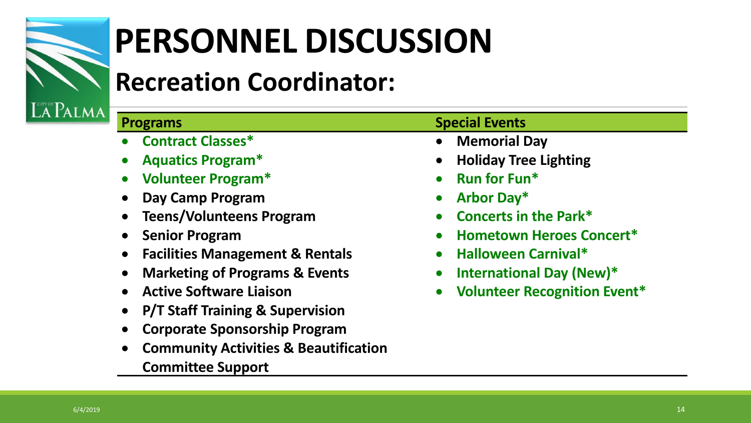

# **PERSONNEL DISCUSSION**

### **Recreation Coordinator:**

**P/T Staff Training & Supervision**

**Corporate Sponsorship Program**

**Committee Support**

**Community Activities & Beautification** 

#### **Programs Special Events Contract Classes\* Aquatics Program\* Volunteer Program\* Day Camp Program Teens/Volunteens Program Senior Program Facilities Management & Rentals Marketing of Programs & Events Active Software Liaison Memorial Day Holiday Tree Lighting Run for Fun\* Arbor Day\* Concerts in the Park\* Hometown Heroes Concert\* Halloween Carnival\* International Day (New)\***

**Volunteer Recognition Event\***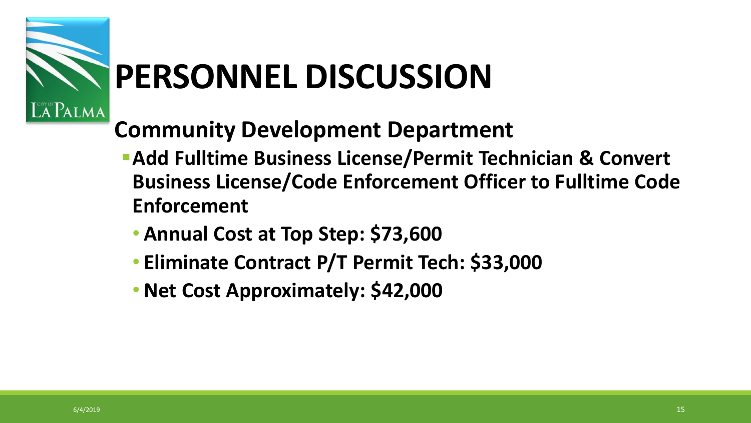

## **PERSONNEL DISCUSSION**

#### **Community Development Department**

- **Add Fulltime Business License/Permit Technician & Convert Business License/Code Enforcement Officer to Fulltime Code Enforcement**
	- **Annual Cost at Top Step: \$73,600**
	- **Eliminate Contract P/T Permit Tech: \$33,000**
	- •**Net Cost Approximately: \$42,000**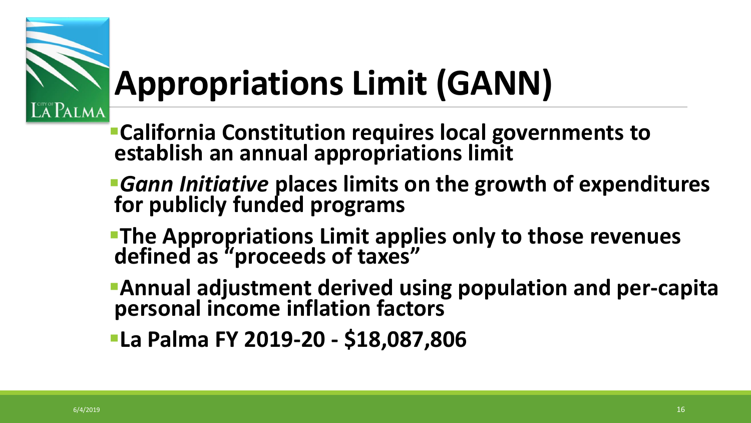

# **Appropriations Limit (GANN)**

- **California Constitution requires local governments to establish an annual appropriations limit**
- *Gann Initiative* **places limits on the growth of expenditures for publicly funded programs**
- **The Appropriations Limit applies only to those revenues defined as "proceeds of taxes"**
- **Annual adjustment derived using population and per-capita personal income inflation factors**
- **La Palma FY 2019-20 - \$18,087,806**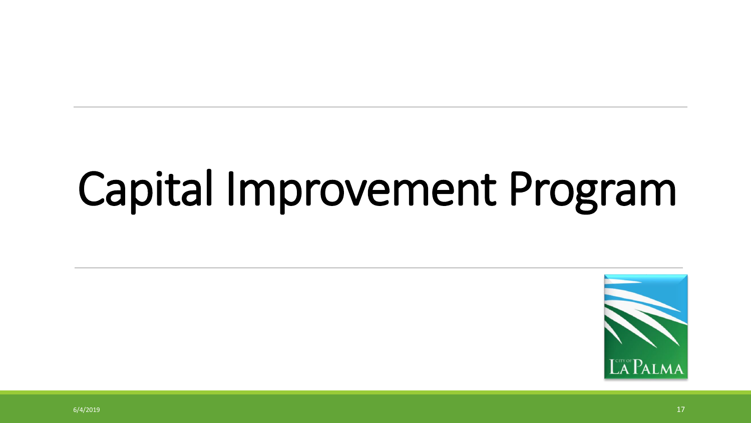# Capital Improvement Program

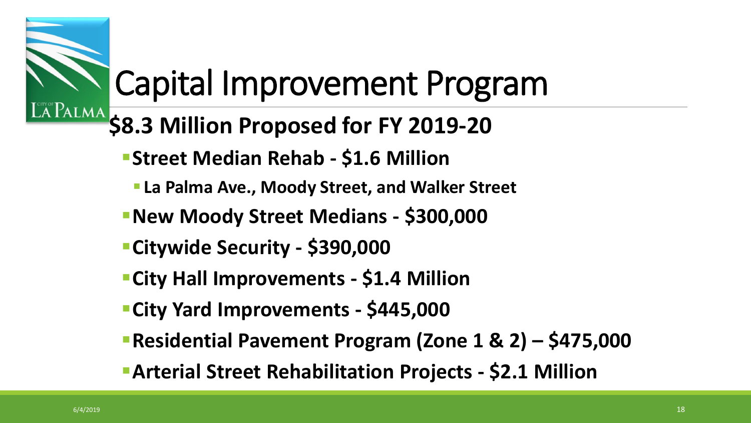## Capital Improvement Program

- **EAPALMA** \$8.3 Million Proposed for FY 2019-20
	- **Street Median Rehab - \$1.6 Million**
		- **La Palma Ave., Moody Street, and Walker Street**
	- **New Moody Street Medians - \$300,000**
	- **Citywide Security - \$390,000**
	- **City Hall Improvements - \$1.4 Million**
	- **City Yard Improvements - \$445,000**
	- **Residential Pavement Program (Zone 1 & 2) – \$475,000**
	- **Arterial Street Rehabilitation Projects - \$2.1 Million**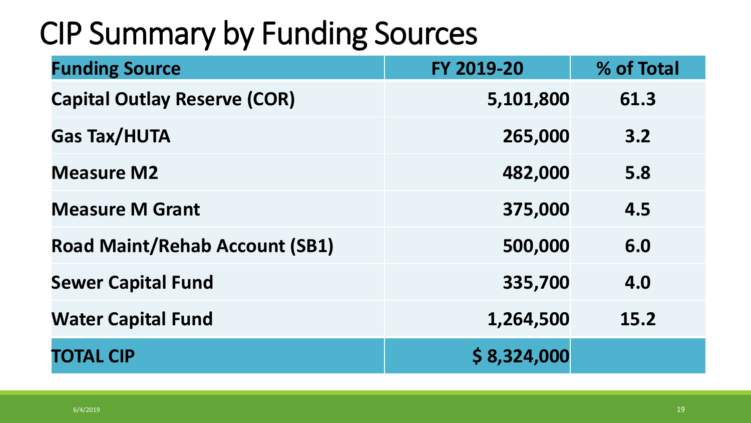## CIP Summary by Funding Sources

| <b>Funding Source</b>                 | FY 2019-20  | % of Total |
|---------------------------------------|-------------|------------|
| <b>Capital Outlay Reserve (COR)</b>   | 5,101,800   | 61.3       |
| <b>Gas Tax/HUTA</b>                   | 265,000     | 3.2        |
| <b>Measure M2</b>                     | 482,000     | 5.8        |
| <b>Measure M Grant</b>                | 375,000     | 4.5        |
| <b>Road Maint/Rehab Account (SB1)</b> | 500,000     | 6.0        |
| <b>Sewer Capital Fund</b>             | 335,700     | 4.0        |
| <b>Water Capital Fund</b>             | 1,264,500   | 15.2       |
| <b>TOTAL CIP</b>                      | \$8,324,000 |            |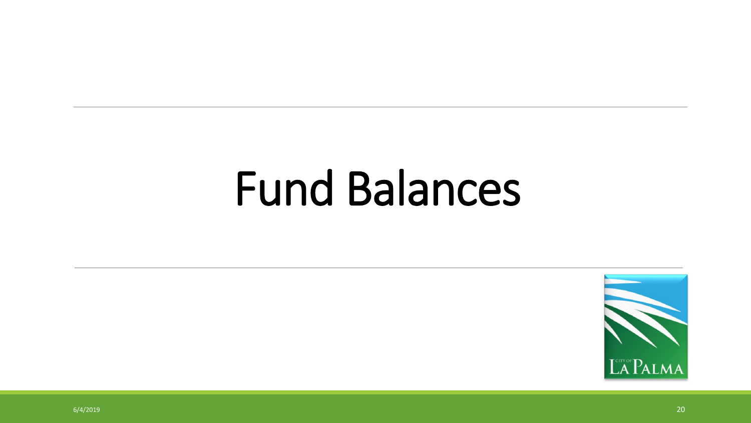# Fund Balances

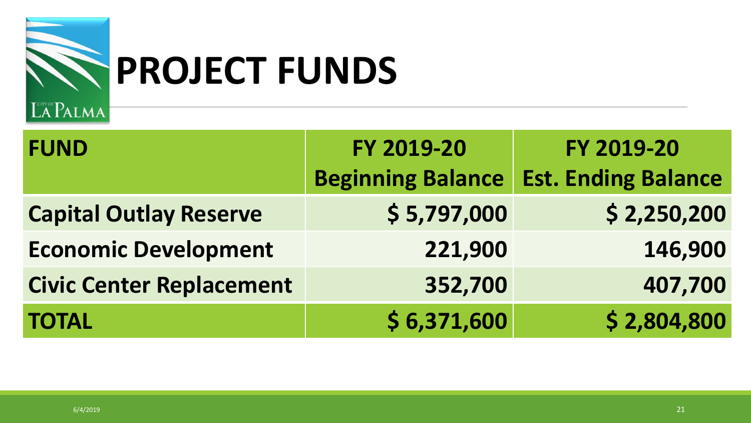

# **PROJECT FUNDS**

| <b>FUND</b>                     | FY 2019-20<br><b>Beginning Balance</b> | FY 2019-20<br><b>Est. Ending Balance</b> |
|---------------------------------|----------------------------------------|------------------------------------------|
| <b>Capital Outlay Reserve</b>   | \$5,797,000                            | \$2,250,200                              |
| <b>Economic Development</b>     | 221,900                                | 146,900                                  |
| <b>Civic Center Replacement</b> | 352,700                                | 407,700                                  |
| <b>TOTAL</b>                    | \$6,371,600                            | \$2,804,800                              |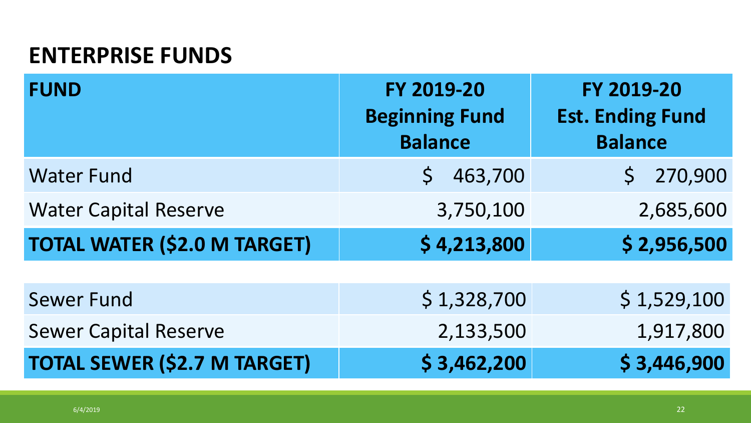#### **ENTERPRISE FUNDS**

| <b>FUND</b>                         | FY 2019-20<br><b>Beginning Fund</b><br><b>Balance</b> | FY 2019-20<br><b>Est. Ending Fund</b><br><b>Balance</b> |
|-------------------------------------|-------------------------------------------------------|---------------------------------------------------------|
| <b>Water Fund</b>                   | 463,700                                               | 270,900                                                 |
| <b>Water Capital Reserve</b>        | 3,750,100                                             | 2,685,600                                               |
| <b>TOTAL WATER (\$2.0 M TARGET)</b> | \$4,213,800                                           | \$2,956,500                                             |
|                                     |                                                       |                                                         |
| <b>Sewer Fund</b>                   | \$1,328,700                                           | \$1,529,100                                             |
| <b>Sewer Capital Reserve</b>        | 2,133,500                                             | 1,917,800                                               |
| <b>TOTAL SEWER (\$2.7 M TARGET)</b> | \$3,462,200                                           | \$3,446,900                                             |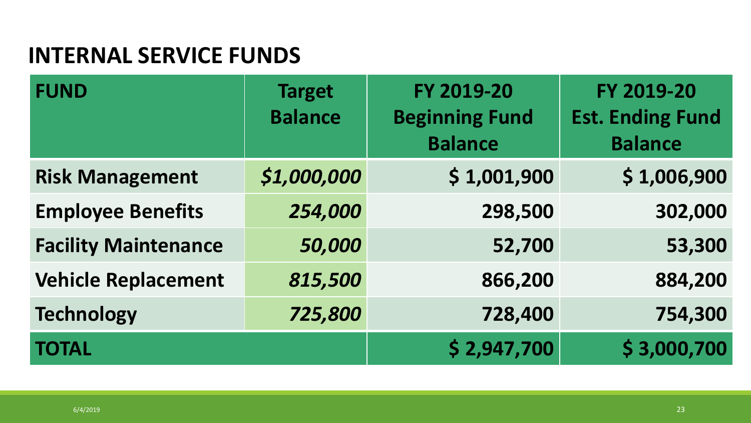#### **INTERNAL SERVICE FUNDS**

| <b>FUND</b>                 | <b>Target</b><br><b>Balance</b> | FY 2019-20<br><b>Beginning Fund</b><br><b>Balance</b> | FY 2019-20<br><b>Est. Ending Fund</b><br><b>Balance</b> |
|-----------------------------|---------------------------------|-------------------------------------------------------|---------------------------------------------------------|
| <b>Risk Management</b>      | \$1,000,000                     | \$1,001,900                                           | \$1,006,900                                             |
| <b>Employee Benefits</b>    | 254,000                         | 298,500                                               | 302,000                                                 |
| <b>Facility Maintenance</b> | 50,000                          | 52,700                                                | 53,300                                                  |
| <b>Vehicle Replacement</b>  | 815,500                         | 866,200                                               | 884,200                                                 |
| <b>Technology</b>           | 725,800                         | 728,400                                               | 754,300                                                 |
| <b>TOTAL</b>                |                                 | \$2,947,700                                           | \$3,000,700                                             |